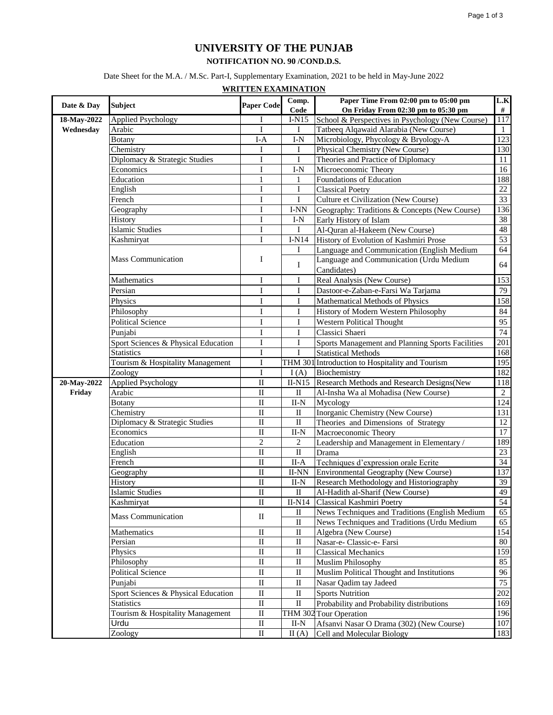## **UNIVERSITY OF THE PUNJAB**

## **NOTIFICATION NO. 90 /COND.D.S.**

Date Sheet for the M.A. / M.Sc. Part-I, Supplementary Examination, 2021 to be held in May-June 2022

**WRITTEN EXAMINATION**

|             |                                     |                         | $\overline{Comp}.$ | Paper Time From 02:00 pm to 05:00 pm             | L.K              |
|-------------|-------------------------------------|-------------------------|--------------------|--------------------------------------------------|------------------|
| Date & Day  | <b>Subject</b>                      | <b>Paper Code</b>       | Code               | On Friday From 02:30 pm to 05:30 pm              | $\#$             |
| 18-May-2022 | <b>Applied Psychology</b>           | Ι                       | $I-N15$            | School & Perspectives in Psychology (New Course) | 117              |
| Wednesday   | Arabic                              | $\mathbf{I}$            | I                  | Tatbeeq Alqawaid Alarabia (New Course)           | $\mathbf{1}$     |
|             | <b>Botany</b>                       | $I-A$                   | $I-N$              | Microbiology, Phycology & Bryology-A             | $\overline{123}$ |
|             | Chemistry                           | I                       | I                  | <b>Physical Chemistry (New Course)</b>           | 130              |
|             | Diplomacy & Strategic Studies       | I                       | I                  | Theories and Practice of Diplomacy               | 11               |
|             | Economics                           | I                       | $I-N$              | Microeconomic Theory                             | 16               |
|             | Education                           | $\mathbf{1}$            | 1                  | Foundations of Education                         | 188              |
|             | English                             | $\mathbf I$             | $\bf I$            | <b>Classical Poetry</b>                          | 22               |
|             | French                              | I                       | $\mathbf I$        | Culture et Civilization (New Course)             | $\overline{33}$  |
|             | Geography                           | I                       | I-NN               | Geography: Traditions & Concepts (New Course)    | 136              |
|             | History                             | $\mathbf I$             | $I-N$              | Early History of Islam                           | 38               |
|             | <b>Islamic Studies</b>              | I                       | $\mathbf I$        | Al-Quran al-Hakeem (New Course)                  | 48               |
|             | Kashmiryat                          | Ι                       | $I-N14$            | History of Evolution of Kashmiri Prose           | 53               |
|             |                                     |                         | I                  | Language and Communication (English Medium       | 64               |
|             | <b>Mass Communication</b>           | Ι                       | $\mathbf I$        | Language and Communication (Urdu Medium          | 64               |
|             |                                     |                         |                    | Candidates)                                      |                  |
|             | Mathematics                         | I                       | I                  | Real Analysis (New Course)                       | 153              |
|             | Persian                             | $\mathbf I$             | $\mathbf I$        | Dastoor-e-Zaban-e-Farsi Wa Tarjama               | 79               |
|             | Physics                             | I                       | $\bf I$            | Mathematical Methods of Physics                  | 158              |
|             | Philosophy                          | I                       | $\bf I$            | History of Modern Western Philosophy             | 84               |
|             | <b>Political Science</b>            | I                       | I                  | Western Political Thought                        | $\overline{95}$  |
|             | Punjabi                             | I                       | $\bf I$            | Classici Shaeri                                  | 74               |
|             | Sport Sciences & Physical Education | I                       | I                  | Sports Management and Planning Sports Facilities | $\overline{201}$ |
|             | <b>Statistics</b>                   | $\mathbf I$             | I                  | <b>Statistical Methods</b>                       | 168              |
|             | Tourism & Hospitality Management    | I                       |                    | THM 301 Introduction to Hospitality and Tourism  | 195              |
|             | Zoology                             | $\mathbf{I}$            | I(A)               | Biochemistry                                     | 182              |
| 20-May-2022 | <b>Applied Psychology</b>           | $\overline{\rm II}$     | $II-N15$           | Research Methods and Research Designs (New       | 118              |
| Friday      | Arabic                              | $\rm II$                | $\mathbf{I}$       | Al-Insha Wa al Mohadisa (New Course)             | $\overline{2}$   |
|             | <b>Botany</b>                       | $\rm II$                | $_{\rm II-N}$      | Mycology                                         | 124              |
|             | Chemistry                           | $\rm II$                | П                  | Inorganic Chemistry (New Course)                 | 131              |
|             | Diplomacy & Strategic Studies       | $\rm II$                | $\rm II$           | Theories and Dimensions of Strategy              | $\overline{12}$  |
|             | Economics                           | $\overline{\mathbf{I}}$ | $II-N$             | Macroeconomic Theory                             | 17               |
|             | Education                           | $\overline{2}$          | $\mathfrak{2}$     | Leadership and Management in Elementary /        | 189              |
|             | English                             | $\rm II$                | $\rm II$           | Drama                                            | 23               |
|             | French                              | $\rm II$                | $II-A$             | Techniques d'expression orale Ecrite             | $\overline{34}$  |
|             | Geography                           | $\rm II$                | II-NN              | Environmental Geography (New Course)             | 137              |
|             | History                             | $\rm II$                | $II-N$             | Research Methodology and Historiography          | 39               |
|             | <b>Islamic Studies</b>              | $\overline{\mathbf{I}}$ | $\rm II$           | Al-Hadith al-Sharif (New Course)                 | 49               |
|             | Kashmiryat                          | $\rm II$                | $II-N14$           | Classical Kashmiri Poetry                        | 54               |
|             | <b>Mass Communication</b>           | $\rm _{II}$             | $\rm _{II}$        | News Techniques and Traditions (English Medium   | 65               |
|             |                                     |                         | $\rm II$           | News Techniques and Traditions (Urdu Medium      | 65               |
|             | Mathematics                         | $\rm _{II}$             | $\rm _{II}$        | Algebra (New Course)                             | 154              |
|             | Persian                             | $\rm II$                | $\rm II$           | Nasar-e- Classic-e- Farsi                        | 80               |
|             | Physics                             | $\rm II$                | $\rm II$           | <b>Classical Mechanics</b>                       | 159              |
|             | Philosophy                          | $\rm II$                | $\mathbf{I}$       | <b>Muslim Philosophy</b>                         | 85               |
|             | <b>Political Science</b>            | $\rm II$                | $\rm II$           | Muslim Political Thought and Institutions        | 96               |
|             | Punjabi                             | $\rm II$                | $\rm II$           | Nasar Qadim tay Jadeed                           | $75\,$           |
|             | Sport Sciences & Physical Education | $\rm II$                | $\rm _{II}$        | <b>Sports Nutrition</b>                          | 202              |
|             | <b>Statistics</b>                   | $\rm II$                | $\rm II$           | Probability and Probability distributions        | 169              |
|             | Tourism & Hospitality Management    | $\rm _{II}$             |                    | THM 302 Tour Operation                           | 196              |
|             | Urdu                                | $\rm II$                | $II-N$             | Afsanvi Nasar O Drama (302) (New Course)         | $107\,$          |
|             | Zoology                             | $\rm II$                | II(A)              | Cell and Molecular Biology                       | 183              |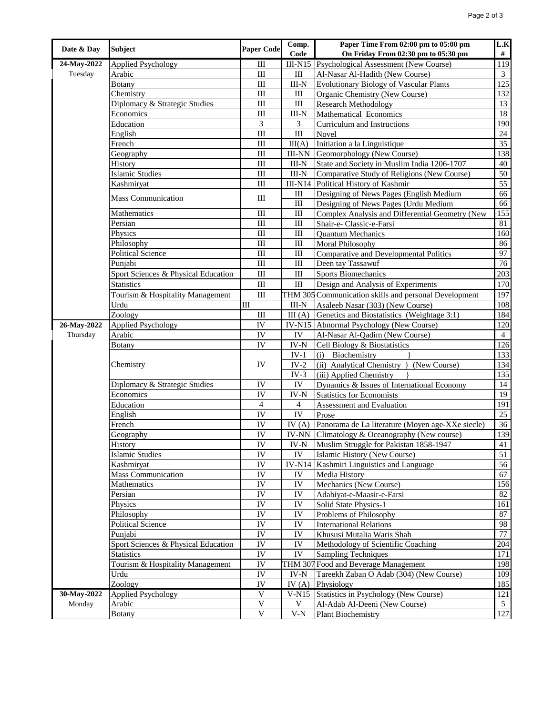| Date & Day  | <b>Subject</b>                      | <b>Paper Code</b>                | Comp.                     | Paper Time From 02:00 pm to 05:00 pm                  | L.K                     |
|-------------|-------------------------------------|----------------------------------|---------------------------|-------------------------------------------------------|-------------------------|
|             |                                     |                                  | Code                      | On Friday From 02:30 pm to 05:30 pm                   | #                       |
| 24-May-2022 | <b>Applied Psychology</b>           | Ш                                |                           | III-N15 Psychological Assessment (New Course)         | 119                     |
| Tuesday     | Arabic                              | $\mathop{\rm III}$               | $\rm III$                 | Al-Nasar Al-Hadith (New Course)                       | $\overline{\mathbf{3}}$ |
|             | <b>Botany</b>                       | $\mathop{\rm III}$               | $III-N$                   | <b>Evolutionary Biology of Vascular Plants</b>        | 125                     |
|             | Chemistry                           | $\mathop{\rm III}$               | Ш                         | Organic Chemistry (New Course)                        | 132                     |
|             | Diplomacy & Strategic Studies       | $\mathop{\mathrm{III}}\nolimits$ | $\rm III$                 | <b>Research Methodology</b>                           | 13                      |
|             | Economics                           | Ш                                | $III-N$                   | Mathematical Economics                                | 18                      |
|             | Education                           | 3                                | 3                         | Curriculum and Instructions                           | 190                     |
|             | English                             | $\mathop{\rm III}$               | $\rm III$                 | Novel                                                 | 24                      |
|             | French                              | $\mathop{\rm III}$               | III(A)                    | Initiation a la Linguistique                          | $\overline{35}$         |
|             | Geography                           | $\mathop{\rm III}$               | <b>III-NN</b>             | Geomorphology (New Course)                            | 138                     |
|             | History                             | $\mathop{\mathrm{III}}\nolimits$ | $III-N$                   | State and Society in Muslim India 1206-1707           | 40                      |
|             | <b>Islamic Studies</b>              | III                              | $III-N$                   | Comparative Study of Religions (New Course)           | 50                      |
|             | Kashmiryat                          | $\mathop{\rm III}$               | $III-N14$                 | Political History of Kashmir                          | 55                      |
|             |                                     |                                  | III                       | Designing of News Pages (English Medium               | 66                      |
|             | <b>Mass Communication</b>           | $\rm III$                        | $\rm III$                 | Designing of News Pages (Urdu Medium                  | 66                      |
|             | Mathematics                         | $\mathop{\rm III}$               | Ш                         | Complex Analysis and Differential Geometry (New       | 155                     |
|             | Persian                             | $\mathop{\mathrm{III}}\nolimits$ | $\rm III$                 | Shair-e- Classic-e-Farsi                              | 81                      |
|             | Physics                             | $\mathop{\rm III}$               | $\rm III$                 | <b>Ouantum Mechanics</b>                              | 160                     |
|             | Philosophy                          | $\mathop{\rm III}$               | Ш                         | Moral Philosophy                                      | 86                      |
|             | <b>Political Science</b>            | $\mathop{\rm III}$               | $\rm III$                 | Comparative and Developmental Politics                | 97                      |
|             | Punjabi                             | $\rm III$                        | III                       | Deen tay Tassawuf                                     | $\overline{76}$         |
|             | Sport Sciences & Physical Education | $\rm III$                        | $\rm III$                 | <b>Sports Biomechanics</b>                            | 203                     |
|             | <b>Statistics</b>                   | $\mathop{\rm III}$               | Ш                         | Design and Analysis of Experiments                    | 170                     |
|             | Tourism & Hospitality Management    | $\mathop{\rm III}$               |                           | THM 305 Communication skills and personal Development | 197                     |
|             |                                     | III                              |                           |                                                       | 108                     |
|             | Urdu<br>Zoology                     |                                  | $III-N$                   | Asaleeb Nasar (303) (New Course)                      | 184                     |
|             |                                     | $\mathop{\rm III}$               | III(A)                    | Genetics and Biostatistics (Weightage 3:1)            |                         |
| 26-May-2022 | Applied Psychology                  | IV                               |                           | IV-N15 Abnormal Psychology (New Course)               | 120<br>$\overline{4}$   |
| Thursday    | Arabic                              | IV                               | IV                        | Al-Nasar Al-Qadim (New Course)                        |                         |
|             | <b>Botany</b>                       | IV                               | $\text{IV-N}$             | Cell Biology & Biostatistics                          | 126                     |
|             |                                     |                                  | $IV-1$                    | (i) Biochemistry                                      | 133                     |
|             | Chemistry                           | IV                               | $IV-2$                    | (ii) Analytical Chemistry<br>(New Course)             | 134                     |
|             |                                     |                                  | $IV-3$                    | (iii) Applied Chemistry                               | 135                     |
|             | Diplomacy & Strategic Studies       | IV                               | IV                        | Dynamics & Issues of International Economy            | 14                      |
|             | Economics                           | IV                               | IV-N                      | <b>Statistics for Economists</b>                      | $\overline{19}$         |
|             | Education                           | 4                                | 4                         | Assessment and Evaluation                             | 191                     |
|             | English                             | IV                               | IV                        | Prose                                                 | 25                      |
|             | French                              | IV                               | IV $(A)$                  | Panorama de La literature (Moyen age-XXe siecle)      | 36                      |
|             | Geography                           | IV                               |                           | IV-NN Climatology & Oceanography (New course)         | 139                     |
|             | History                             | $\overline{\text{IV}}$           |                           | IV-N Muslim Struggle for Pakistan 1858-1947           | 41                      |
|             | <b>Islamic Studies</b>              | IV                               | IV                        | Islamic History (New Course)                          | 51                      |
|             | Kashmiryat                          | ${\rm IV}$                       | <b>IV-N14</b>             | Kashmiri Linguistics and Language                     | 56                      |
|             | <b>Mass Communication</b>           | IV                               | IV                        | Media History                                         | 67                      |
|             | Mathematics                         | IV                               | IV                        | Mechanics (New Course)                                | 156                     |
|             | Persian                             | IV                               | ${\rm IV}$                | Adabiyat-e-Maasir-e-Farsi                             | 82                      |
|             | Physics                             | IV                               | ${\rm IV}$                | Solid State Physics-1                                 | 161                     |
|             | Philosophy                          | IV                               | IV                        | Problems of Philosophy                                | 87                      |
|             | <b>Political Science</b>            | ${\rm IV}$                       | IV                        | <b>International Relations</b>                        | 98                      |
|             | Punjabi                             | ${\rm IV}$                       | IV                        | Khususi Mutalia Waris Shah                            | 77                      |
|             | Sport Sciences & Physical Education | ${\rm IV}$                       | ${\rm IV}$                | Methodology of Scientific Coaching                    | 204                     |
|             | <b>Statistics</b>                   | ${\rm IV}$                       | ${\rm IV}$                | <b>Sampling Techniques</b>                            | 171                     |
|             | Tourism & Hospitality Management    | IV                               |                           | THM 307 Food and Beverage Management                  | 198                     |
|             | Urdu                                | $\overline{\rm IV}$              | IV-N                      | Tareekh Zaban O Adab (304) (New Course)               | 109                     |
|             | Zoology                             | IV                               | $\overline{IV}$ (A)       | Physiology                                            | 185                     |
| 30-May-2022 | <b>Applied Psychology</b>           | $\mathbf V$                      | $V-N15$                   | Statistics in Psychology (New Course)                 | 121                     |
| Monday      | Arabic                              | $\mathbf V$                      | V                         | Al-Adab Al-Deeni (New Course)                         | $\overline{5}$          |
|             | <b>Botany</b>                       | $\mathbf V$                      | $\ensuremath{\text{V-N}}$ | <b>Plant Biochemistry</b>                             | 127                     |
|             |                                     |                                  |                           |                                                       |                         |